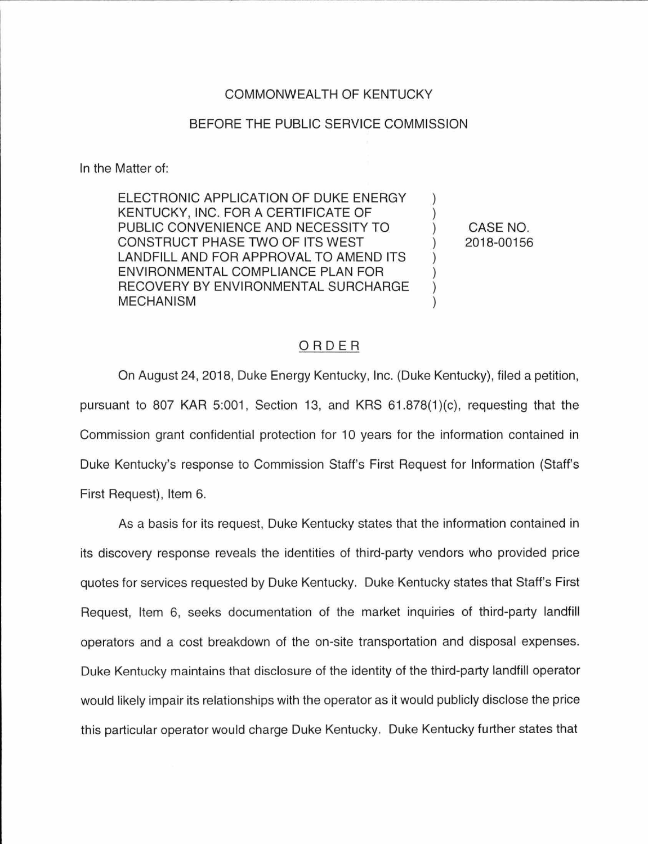## COMMONWEAL TH OF KENTUCKY

## BEFORE THE PUBLIC SERVICE COMMISSION

In the Matter of:

ELECTRONIC APPLICATION OF DUKE ENERGY KENTUCKY, INC. FOR A CERTIFICATE OF PUBLIC CONVENIENCE AND NECESSITY TO ) CONSTRUCT PHASE TWO OF ITS WEST LANDFILL AND FOR APPROVAL TO AMEND ITS ) ENVIRONMENTAL COMPLIANCE PLAN FOR ) RECOVERY BY ENVIRONMENTAL SURCHARGE ) **MECHANISM** 

CASE NO. 2018-00156

## ORDER

On August 24, 2018, Duke Energy Kentucky, Inc. (Duke Kentucky), filed a petition, pursuant to 807 KAR 5:001, Section 13, and KRS 61.878(1)(c), requesting that the Commission grant confidential protection for 10 years for the information contained in Duke Kentucky's response to Commission Staff's First Request for Information (Staff's First Request), Item 6.

As a basis for its request, Duke Kentucky states that the information contained in its discovery response reveals the identities of third-party vendors who provided price quotes for services requested by Duke Kentucky. Duke Kentucky states that Staff's First Request, Item 6, seeks documentation of the market inquiries of third-party landfill operators and a cost breakdown of the on-site transportation and disposal expenses. Duke Kentucky maintains that disclosure of the identity of the third-party landfill operator would likely impair its relationships with the operator as it would publicly disclose the price this particular operator would charge Duke Kentucky. Duke Kentucky further states that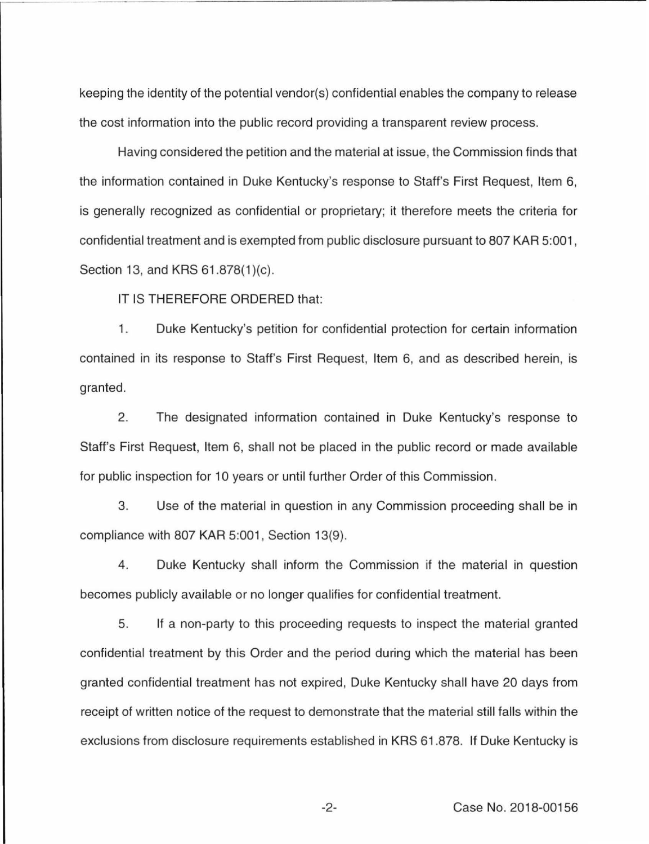keeping the identity of the potential vendor(s) confidential enables the company to release the cost information into the public record providing a transparent review process.

Having considered the petition and the material at issue, the Commission finds that the information contained in Duke Kentucky's response to Staff's First Request, Item 6, is generally recognized as confidential or proprietary; it therefore meets the criteria for confidential treatment and is exempted from public disclosure pursuant to 807 KAR 5:001, Section 13, and KRS 61.878(1)(c).

IT IS THEREFORE ORDERED that:

1. Duke Kentucky's petition for confidential protection for certain information contained in its response to Staff's First Request, Item 6, and as described herein, is granted.

2. The designated information contained in Duke Kentucky's response to Staff's First Request, Item 6, shall not be placed in the public record or made available for public inspection for 10 years or until further Order of this Commission.

3. Use of the material in question in any Commission proceeding shall be in compliance with 807 KAR 5:001, Section 13(9).

4. Duke Kentucky shall inform the Commission if the material in question becomes publicly available or no longer qualifies for confidential treatment.

5. If a non-party to this proceeding requests to inspect the material granted confidential treatment by this Order and the period during which the material has been granted confidential treatment has not expired, Duke Kentucky shall have 20 days from receipt of written notice of the request to demonstrate that the material still falls within the exclusions from disclosure requirements established in KRS 61 .878. If Duke Kentucky is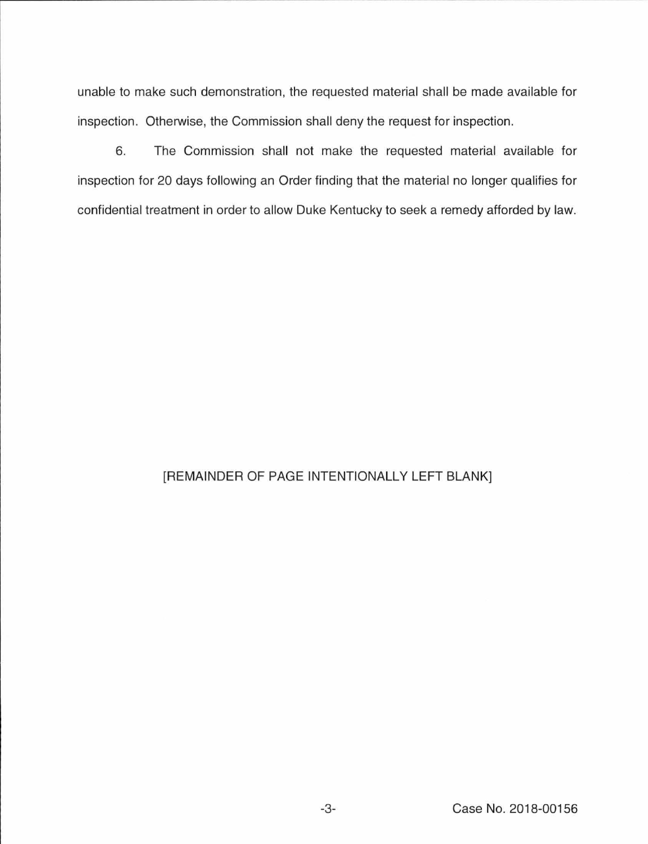unable to make such demonstration, the requested material shall be made available for inspection. Otherwise, the Commission shall deny the request for inspection.

6. The Commission shall not make the requested material available for inspection for 20 days following an Order finding that the material no longer qualifies for confidential treatment in order to allow Duke Kentucky to seek a remedy afforded by law.

## [REMAINDER OF PAGE INTENTIONALLY LEFT BLANK]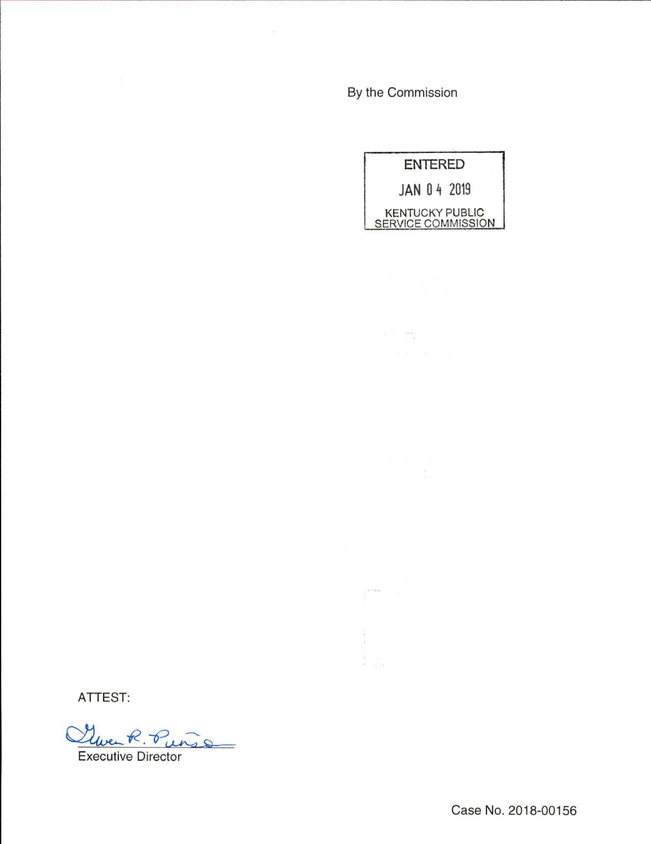By the Commission



 $\label{eq:3.1} \mathcal{S}^{(\text{max})} = \frac{\text{size}}{\text{size}} = -1.$ 

 $\begin{array}{ccc} \alpha & \beta & \beta \\ \alpha & \beta & \gamma \\ \beta & \delta & \delta \end{array}$ 

ATTEST:

Cleven R. Punse

Executive Director